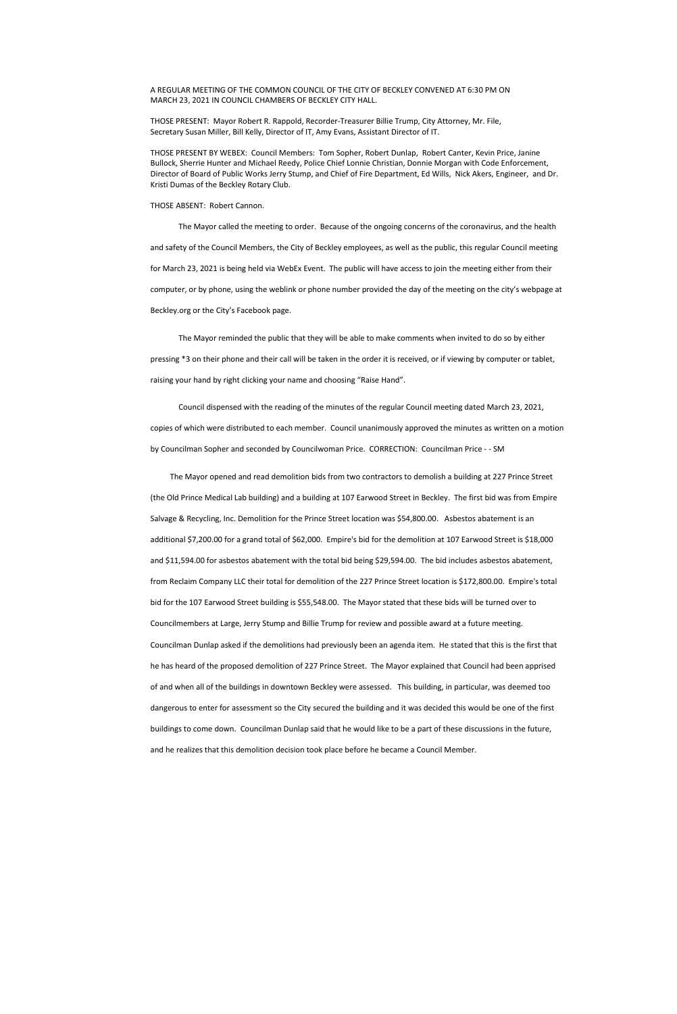A REGULAR MEETING OF THE COMMON COUNCIL OF THE CITY OF BECKLEY CONVENED AT 6:30 PM ON MARCH 23, 2021 IN COUNCIL CHAMBERS OF BECKLEY CITY HALL.

THOSE PRESENT: Mayor Robert R. Rappold, Recorder-Treasurer Billie Trump, City Attorney, Mr. File, Secretary Susan Miller, Bill Kelly, Director of IT, Amy Evans, Assistant Director of IT.

THOSE PRESENT BY WEBEX: Council Members: Tom Sopher, Robert Dunlap, Robert Canter, Kevin Price, Janine Bullock, Sherrie Hunter and Michael Reedy, Police Chief Lonnie Christian, Donnie Morgan with Code Enforcement, Director of Board of Public Works Jerry Stump, and Chief of Fire Department, Ed Wills, Nick Akers, Engineer, and Dr. Kristi Dumas of the Beckley Rotary Club.

THOSE ABSENT: Robert Cannon.

The Mayor called the meeting to order. Because of the ongoing concerns of the coronavirus, and the health and safety of the Council Members, the City of Beckley employees, as well as the public, this regular Council meeting for March 23, 2021 is being held via WebEx Event. The public will have access to join the meeting either from their computer, or by phone, using the weblink or phone number provided the day of the meeting on the city's webpage at Beckley.org or the City's Facebook page.

The Mayor reminded the public that they will be able to make comments when invited to do so by either pressing \*3 on their phone and their call will be taken in the order it is received, or if viewing by computer or tablet, raising your hand by right clicking your name and choosing "Raise Hand".

 Council dispensed with the reading of the minutes of the regular Council meeting dated March 23, 2021, copies of which were distributed to each member. Council unanimously approved the minutes as written on a motion by Councilman Sopher and seconded by Councilwoman Price. CORRECTION: Councilman Price - - SM

 The Mayor opened and read demolition bids from two contractors to demolish a building at 227 Prince Street (the Old Prince Medical Lab building) and a building at 107 Earwood Street in Beckley. The first bid was from Empire Salvage & Recycling, Inc. Demolition for the Prince Street location was \$54,800.00. Asbestos abatement is an additional \$7,200.00 for a grand total of \$62,000. Empire's bid for the demolition at 107 Earwood Street is \$18,000 and \$11,594.00 for asbestos abatement with the total bid being \$29,594.00. The bid includes asbestos abatement, from Reclaim Company LLC their total for demolition of the 227 Prince Street location is \$172,800.00. Empire's total bid for the 107 Earwood Street building is \$55,548.00. The Mayor stated that these bids will be turned over to Councilmembers at Large, Jerry Stump and Billie Trump for review and possible award at a future meeting. Councilman Dunlap asked if the demolitions had previously been an agenda item. He stated that this is the first that he has heard of the proposed demolition of 227 Prince Street. The Mayor explained that Council had been apprised of and when all of the buildings in downtown Beckley were assessed. This building, in particular, was deemed too

dangerous to enter for assessment so the City secured the building and it was decided this would be one of the first

buildings to come down. Councilman Dunlap said that he would like to be a part of these discussions in the future,

and he realizes that this demolition decision took place before he became a Council Member.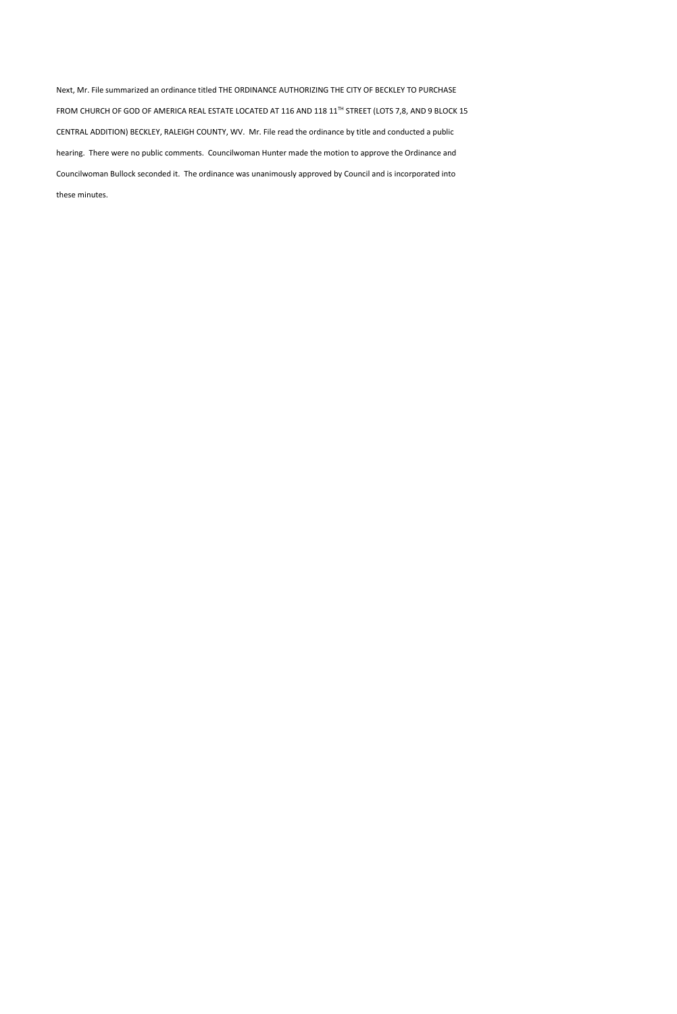Next, Mr. File summarized an ordinance titled THE ORDINANCE AUTHORIZING THE CITY OF BECKLEY TO PURCHASE FROM CHURCH OF GOD OF AMERICA REAL ESTATE LOCATED AT 116 AND 118 11<sup>TH</sup> STREET (LOTS 7,8, AND 9 BLOCK 15 CENTRAL ADDITION) BECKLEY, RALEIGH COUNTY, WV. Mr. File read the ordinance by title and conducted a public hearing. There were no public comments. Councilwoman Hunter made the motion to approve the Ordinance and Councilwoman Bullock seconded it. The ordinance was unanimously approved by Council and is incorporated into these minutes.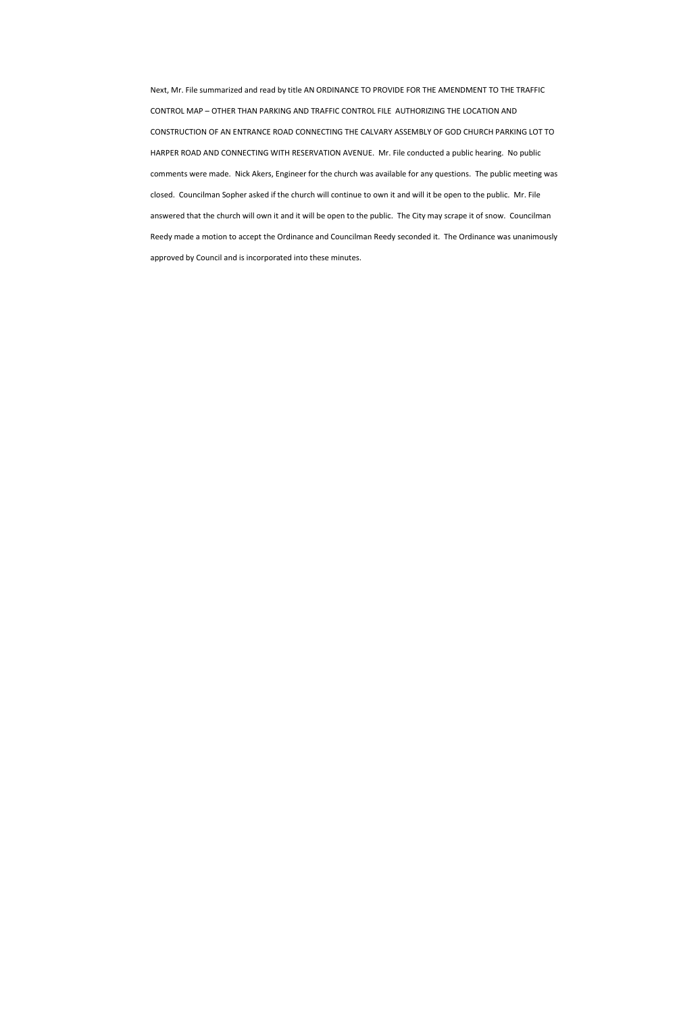Next, Mr. File summarized and read by title AN ORDINANCE TO PROVIDE FOR THE AMENDMENT TO THE TRAFFIC CONTROL MAP – OTHER THAN PARKING AND TRAFFIC CONTROL FILE AUTHORIZING THE LOCATION AND CONSTRUCTION OF AN ENTRANCE ROAD CONNECTING THE CALVARY ASSEMBLY OF GOD CHURCH PARKING LOT TO HARPER ROAD AND CONNECTING WITH RESERVATION AVENUE. Mr. File conducted a public hearing. No public comments were made. Nick Akers, Engineer for the church was available for any questions. The public meeting was closed. Councilman Sopher asked if the church will continue to own it and will it be open to the public. Mr. File answered that the church will own it and it will be open to the public. The City may scrape it of snow. Councilman Reedy made a motion to accept the Ordinance and Councilman Reedy seconded it. The Ordinance was unanimously approved by Council and is incorporated into these minutes.